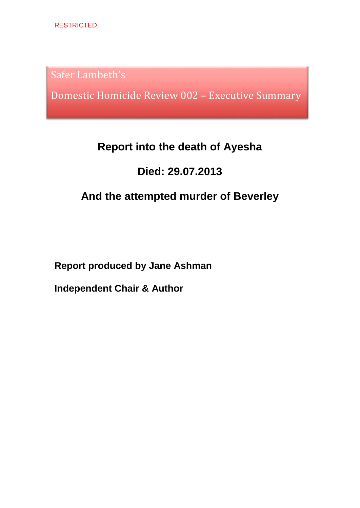Safer Lambeth's

Domestic Homicide Review 002 – Executive Summary

# **Report into the death of Ayesha**

# **Died: 29.07.2013**

# **And the attempted murder of Beverley**

**Report produced by Jane Ashman**

**Independent Chair & Author**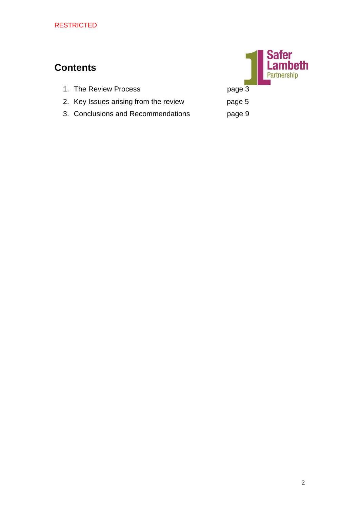# **Contents**



- 2. Key Issues arising from the review page 5
- 3. Conclusions and Recommendations page 9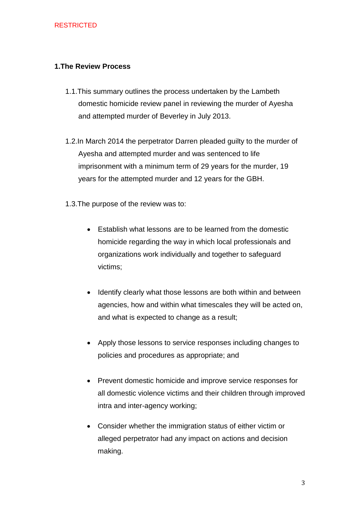# **1.The Review Process**

- 1.1.This summary outlines the process undertaken by the Lambeth domestic homicide review panel in reviewing the murder of Ayesha and attempted murder of Beverley in July 2013.
- 1.2.In March 2014 the perpetrator Darren pleaded guilty to the murder of Ayesha and attempted murder and was sentenced to life imprisonment with a minimum term of 29 years for the murder, 19 years for the attempted murder and 12 years for the GBH.
- 1.3.The purpose of the review was to:
	- Establish what lessons are to be learned from the domestic homicide regarding the way in which local professionals and organizations work individually and together to safeguard victims;
	- Identify clearly what those lessons are both within and between agencies, how and within what timescales they will be acted on, and what is expected to change as a result;
	- Apply those lessons to service responses including changes to policies and procedures as appropriate; and
	- Prevent domestic homicide and improve service responses for all domestic violence victims and their children through improved intra and inter-agency working;
	- Consider whether the immigration status of either victim or alleged perpetrator had any impact on actions and decision making.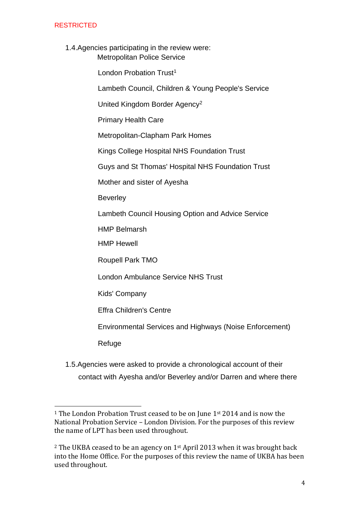1.4.Agencies participating in the review were: Metropolitan Police Service

London Probation Trust<sup>1</sup>

Lambeth Council, Children & Young People's Service

United Kingdom Border Agency<sup>2</sup>

Primary Health Care

Metropolitan-Clapham Park Homes

Kings College Hospital NHS Foundation Trust

Guys and St Thomas' Hospital NHS Foundation Trust

Mother and sister of Ayesha

**Beverley** 

Lambeth Council Housing Option and Advice Service

HMP Belmarsh

HMP Hewell

Roupell Park TMO

London Ambulance Service NHS Trust

Kids' Company

Effra Children's Centre

Environmental Services and Highways (Noise Enforcement)

Refuge

 $\overline{\phantom{0}}$ 

1.5.Agencies were asked to provide a chronological account of their contact with Ayesha and/or Beverley and/or Darren and where there

<sup>&</sup>lt;sup>1</sup> The London Probation Trust ceased to be on June 1<sup>st</sup> 2014 and is now the National Probation Service – London Division. For the purposes of this review the name of LPT has been used throughout.

<sup>&</sup>lt;sup>2</sup> The UKBA ceased to be an agency on  $1<sup>st</sup>$  April 2013 when it was brought back into the Home Office. For the purposes of this review the name of UKBA has been used throughout.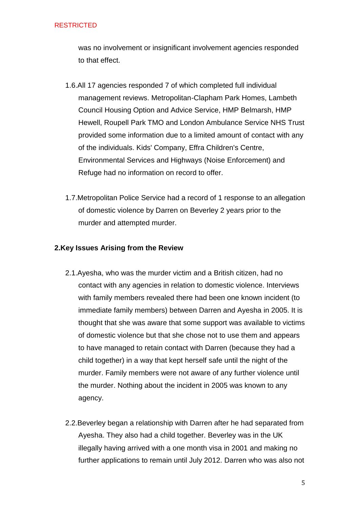was no involvement or insignificant involvement agencies responded to that effect.

- 1.6.All 17 agencies responded 7 of which completed full individual management reviews. Metropolitan-Clapham Park Homes, Lambeth Council Housing Option and Advice Service, HMP Belmarsh, HMP Hewell, Roupell Park TMO and London Ambulance Service NHS Trust provided some information due to a limited amount of contact with any of the individuals. Kids' Company, Effra Children's Centre, Environmental Services and Highways (Noise Enforcement) and Refuge had no information on record to offer.
- 1.7.Metropolitan Police Service had a record of 1 response to an allegation of domestic violence by Darren on Beverley 2 years prior to the murder and attempted murder.

# **2.Key Issues Arising from the Review**

- 2.1.Ayesha, who was the murder victim and a British citizen, had no contact with any agencies in relation to domestic violence. Interviews with family members revealed there had been one known incident (to immediate family members) between Darren and Ayesha in 2005. It is thought that she was aware that some support was available to victims of domestic violence but that she chose not to use them and appears to have managed to retain contact with Darren (because they had a child together) in a way that kept herself safe until the night of the murder. Family members were not aware of any further violence until the murder. Nothing about the incident in 2005 was known to any agency.
- 2.2.Beverley began a relationship with Darren after he had separated from Ayesha. They also had a child together. Beverley was in the UK illegally having arrived with a one month visa in 2001 and making no further applications to remain until July 2012. Darren who was also not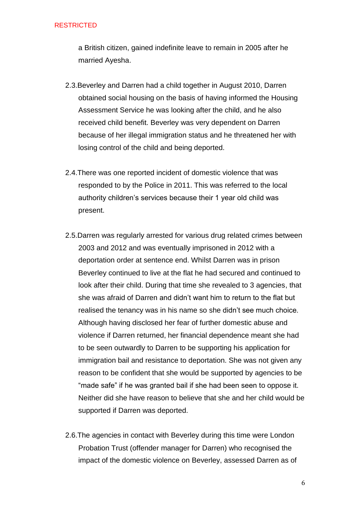a British citizen, gained indefinite leave to remain in 2005 after he married Ayesha.

- 2.3.Beverley and Darren had a child together in August 2010, Darren obtained social housing on the basis of having informed the Housing Assessment Service he was looking after the child, and he also received child benefit. Beverley was very dependent on Darren because of her illegal immigration status and he threatened her with losing control of the child and being deported.
- 2.4.There was one reported incident of domestic violence that was responded to by the Police in 2011. This was referred to the local authority children's services because their 1 year old child was present.
- 2.5.Darren was regularly arrested for various drug related crimes between 2003 and 2012 and was eventually imprisoned in 2012 with a deportation order at sentence end. Whilst Darren was in prison Beverley continued to live at the flat he had secured and continued to look after their child. During that time she revealed to 3 agencies, that she was afraid of Darren and didn't want him to return to the flat but realised the tenancy was in his name so she didn't see much choice. Although having disclosed her fear of further domestic abuse and violence if Darren returned, her financial dependence meant she had to be seen outwardly to Darren to be supporting his application for immigration bail and resistance to deportation. She was not given any reason to be confident that she would be supported by agencies to be "made safe" if he was granted bail if she had been seen to oppose it. Neither did she have reason to believe that she and her child would be supported if Darren was deported.
- 2.6.The agencies in contact with Beverley during this time were London Probation Trust (offender manager for Darren) who recognised the impact of the domestic violence on Beverley, assessed Darren as of

6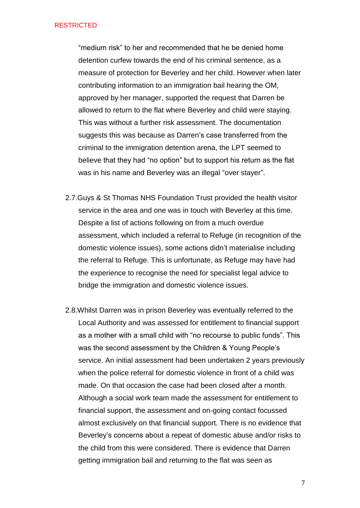"medium risk" to her and recommended that he be denied home detention curfew towards the end of his criminal sentence, as a measure of protection for Beverley and her child. However when later contributing information to an immigration bail hearing the OM, approved by her manager, supported the request that Darren be allowed to return to the flat where Beverley and child were staying. This was without a further risk assessment. The documentation suggests this was because as Darren's case transferred from the criminal to the immigration detention arena, the LPT seemed to believe that they had "no option" but to support his return as the flat was in his name and Beverley was an illegal "over stayer".

- 2.7.Guys & St Thomas NHS Foundation Trust provided the health visitor service in the area and one was in touch with Beverley at this time. Despite a list of actions following on from a much overdue assessment, which included a referral to Refuge (in recognition of the domestic violence issues), some actions didn't materialise including the referral to Refuge. This is unfortunate, as Refuge may have had the experience to recognise the need for specialist legal advice to bridge the immigration and domestic violence issues.
- 2.8.Whilst Darren was in prison Beverley was eventually referred to the Local Authority and was assessed for entitlement to financial support as a mother with a small child with "no recourse to public funds". This was the second assessment by the Children & Young People's service. An initial assessment had been undertaken 2 years previously when the police referral for domestic violence in front of a child was made. On that occasion the case had been closed after a month. Although a social work team made the assessment for entitlement to financial support, the assessment and on-going contact focussed almost exclusively on that financial support. There is no evidence that Beverley's concerns about a repeat of domestic abuse and/or risks to the child from this were considered. There is evidence that Darren getting immigration bail and returning to the flat was seen as

7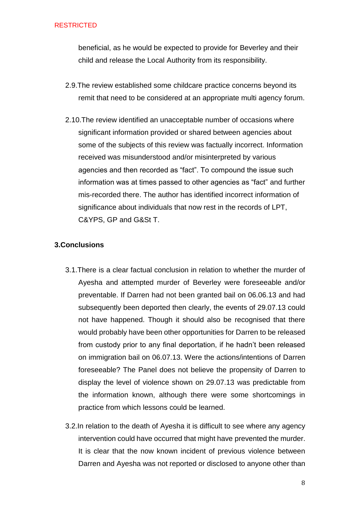beneficial, as he would be expected to provide for Beverley and their child and release the Local Authority from its responsibility.

- 2.9.The review established some childcare practice concerns beyond its remit that need to be considered at an appropriate multi agency forum.
- 2.10.The review identified an unacceptable number of occasions where significant information provided or shared between agencies about some of the subjects of this review was factually incorrect. Information received was misunderstood and/or misinterpreted by various agencies and then recorded as "fact". To compound the issue such information was at times passed to other agencies as "fact" and further mis-recorded there. The author has identified incorrect information of significance about individuals that now rest in the records of LPT, C&YPS, GP and G&St T.

# **3.Conclusions**

- 3.1.There is a clear factual conclusion in relation to whether the murder of Ayesha and attempted murder of Beverley were foreseeable and/or preventable. If Darren had not been granted bail on 06.06.13 and had subsequently been deported then clearly, the events of 29.07.13 could not have happened. Though it should also be recognised that there would probably have been other opportunities for Darren to be released from custody prior to any final deportation, if he hadn't been released on immigration bail on 06.07.13. Were the actions/intentions of Darren foreseeable? The Panel does not believe the propensity of Darren to display the level of violence shown on 29.07.13 was predictable from the information known, although there were some shortcomings in practice from which lessons could be learned.
- 3.2.In relation to the death of Ayesha it is difficult to see where any agency intervention could have occurred that might have prevented the murder. It is clear that the now known incident of previous violence between Darren and Ayesha was not reported or disclosed to anyone other than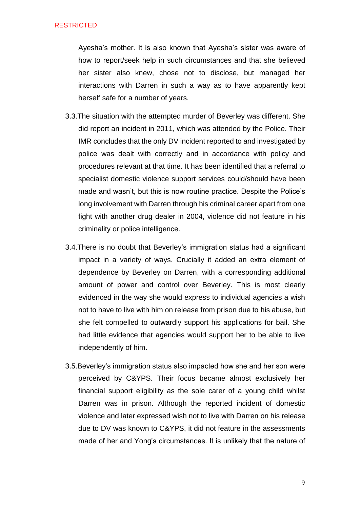Ayesha's mother. It is also known that Ayesha's sister was aware of how to report/seek help in such circumstances and that she believed her sister also knew, chose not to disclose, but managed her interactions with Darren in such a way as to have apparently kept herself safe for a number of years.

- 3.3.The situation with the attempted murder of Beverley was different. She did report an incident in 2011, which was attended by the Police. Their IMR concludes that the only DV incident reported to and investigated by police was dealt with correctly and in accordance with policy and procedures relevant at that time. It has been identified that a referral to specialist domestic violence support services could/should have been made and wasn't, but this is now routine practice. Despite the Police's long involvement with Darren through his criminal career apart from one fight with another drug dealer in 2004, violence did not feature in his criminality or police intelligence.
- 3.4.There is no doubt that Beverley's immigration status had a significant impact in a variety of ways. Crucially it added an extra element of dependence by Beverley on Darren, with a corresponding additional amount of power and control over Beverley. This is most clearly evidenced in the way she would express to individual agencies a wish not to have to live with him on release from prison due to his abuse, but she felt compelled to outwardly support his applications for bail. She had little evidence that agencies would support her to be able to live independently of him.
- 3.5.Beverley's immigration status also impacted how she and her son were perceived by C&YPS. Their focus became almost exclusively her financial support eligibility as the sole carer of a young child whilst Darren was in prison. Although the reported incident of domestic violence and later expressed wish not to live with Darren on his release due to DV was known to C&YPS, it did not feature in the assessments made of her and Yong's circumstances. It is unlikely that the nature of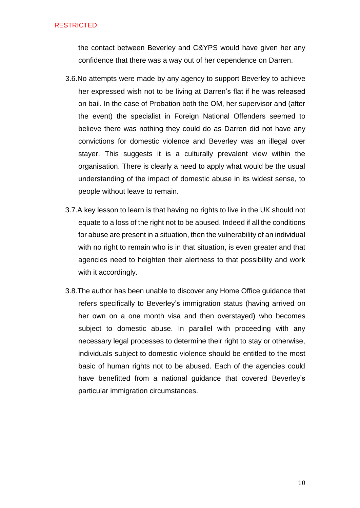the contact between Beverley and C&YPS would have given her any confidence that there was a way out of her dependence on Darren.

- 3.6.No attempts were made by any agency to support Beverley to achieve her expressed wish not to be living at Darren's flat if he was released on bail. In the case of Probation both the OM, her supervisor and (after the event) the specialist in Foreign National Offenders seemed to believe there was nothing they could do as Darren did not have any convictions for domestic violence and Beverley was an illegal over stayer. This suggests it is a culturally prevalent view within the organisation. There is clearly a need to apply what would be the usual understanding of the impact of domestic abuse in its widest sense, to people without leave to remain.
- 3.7.A key lesson to learn is that having no rights to live in the UK should not equate to a loss of the right not to be abused. Indeed if all the conditions for abuse are present in a situation, then the vulnerability of an individual with no right to remain who is in that situation, is even greater and that agencies need to heighten their alertness to that possibility and work with it accordingly.
- 3.8.The author has been unable to discover any Home Office guidance that refers specifically to Beverley's immigration status (having arrived on her own on a one month visa and then overstayed) who becomes subject to domestic abuse. In parallel with proceeding with any necessary legal processes to determine their right to stay or otherwise, individuals subject to domestic violence should be entitled to the most basic of human rights not to be abused. Each of the agencies could have benefitted from a national guidance that covered Beverley's particular immigration circumstances.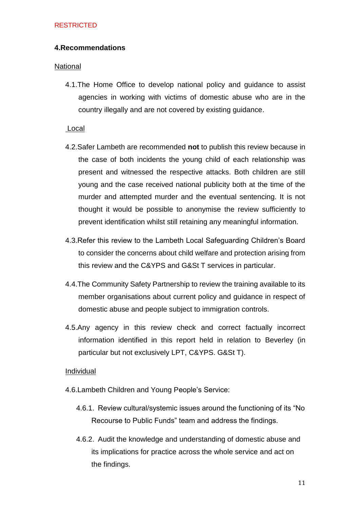## **4.Recommendations**

## **National**

4.1.The Home Office to develop national policy and guidance to assist agencies in working with victims of domestic abuse who are in the country illegally and are not covered by existing guidance.

## Local

- 4.2.Safer Lambeth are recommended **not** to publish this review because in the case of both incidents the young child of each relationship was present and witnessed the respective attacks. Both children are still young and the case received national publicity both at the time of the murder and attempted murder and the eventual sentencing. It is not thought it would be possible to anonymise the review sufficiently to prevent identification whilst still retaining any meaningful information.
- 4.3.Refer this review to the Lambeth Local Safeguarding Children's Board to consider the concerns about child welfare and protection arising from this review and the C&YPS and G&St T services in particular.
- 4.4.The Community Safety Partnership to review the training available to its member organisations about current policy and guidance in respect of domestic abuse and people subject to immigration controls.
- 4.5.Any agency in this review check and correct factually incorrect information identified in this report held in relation to Beverley (in particular but not exclusively LPT, C&YPS. G&St T).

## Individual

- 4.6.Lambeth Children and Young People's Service:
	- 4.6.1. Review cultural/systemic issues around the functioning of its "No Recourse to Public Funds" team and address the findings.
	- 4.6.2. Audit the knowledge and understanding of domestic abuse and its implications for practice across the whole service and act on the findings.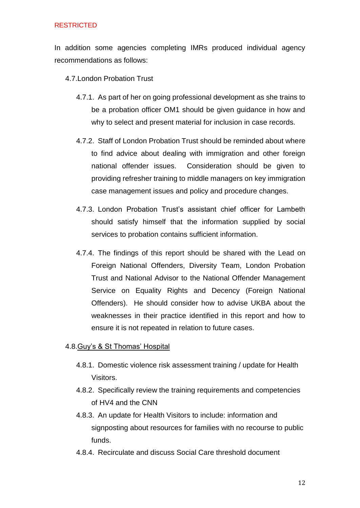In addition some agencies completing IMRs produced individual agency recommendations as follows:

4.7.London Probation Trust

- 4.7.1. As part of her on going professional development as she trains to be a probation officer OM1 should be given guidance in how and why to select and present material for inclusion in case records.
- 4.7.2. Staff of London Probation Trust should be reminded about where to find advice about dealing with immigration and other foreign national offender issues. Consideration should be given to providing refresher training to middle managers on key immigration case management issues and policy and procedure changes.
- 4.7.3. London Probation Trust's assistant chief officer for Lambeth should satisfy himself that the information supplied by social services to probation contains sufficient information.
- 4.7.4. The findings of this report should be shared with the Lead on Foreign National Offenders, Diversity Team, London Probation Trust and National Advisor to the National Offender Management Service on Equality Rights and Decency (Foreign National Offenders). He should consider how to advise UKBA about the weaknesses in their practice identified in this report and how to ensure it is not repeated in relation to future cases.

## 4.8.Guy's & St Thomas' Hospital

- 4.8.1. Domestic violence risk assessment training / update for Health Visitors.
- 4.8.2. Specifically review the training requirements and competencies of HV4 and the CNN
- 4.8.3. An update for Health Visitors to include: information and signposting about resources for families with no recourse to public funds.
- 4.8.4. Recirculate and discuss Social Care threshold document